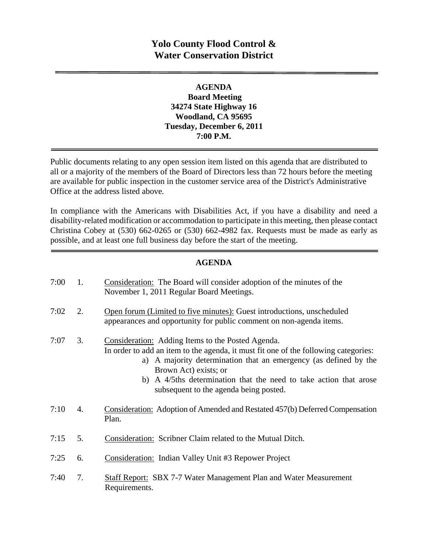# **Yolo County Flood Control & Water Conservation District**

#### **AGENDA Board Meeting 34274 State Highway 16 Woodland, CA 95695 Tuesday, December 6, 2011 7:00 P.M.**

Public documents relating to any open session item listed on this agenda that are distributed to all or a majority of the members of the Board of Directors less than 72 hours before the meeting are available for public inspection in the customer service area of the District's Administrative Office at the address listed above*.* 

In compliance with the Americans with Disabilities Act, if you have a disability and need a disability-related modification or accommodation to participate in this meeting, then please contact Christina Cobey at (530) 662-0265 or (530) 662-4982 fax. Requests must be made as early as possible, and at least one full business day before the start of the meeting.

#### **AGENDA**

| 7:00 | 1. | Consideration: The Board will consider adoption of the minutes of the<br>November 1, 2011 Regular Board Meetings.                                                                                                                                                                                                                                    |
|------|----|------------------------------------------------------------------------------------------------------------------------------------------------------------------------------------------------------------------------------------------------------------------------------------------------------------------------------------------------------|
| 7:02 | 2. | Open forum (Limited to five minutes): Guest introductions, unscheduled<br>appearances and opportunity for public comment on non-agenda items.                                                                                                                                                                                                        |
| 7:07 | 3. | Consideration: Adding Items to the Posted Agenda.<br>In order to add an item to the agenda, it must fit one of the following categories:<br>a) A majority determination that an emergency (as defined by the<br>Brown Act) exists; or<br>b) A 4/5ths determination that the need to take action that arose<br>subsequent to the agenda being posted. |
| 7:10 | 4. | Consideration: Adoption of Amended and Restated 457(b) Deferred Compensation<br>Plan.                                                                                                                                                                                                                                                                |
| 7:15 | 5. | Consideration: Scribner Claim related to the Mutual Ditch.                                                                                                                                                                                                                                                                                           |
| 7:25 | 6. | <b>Consideration:</b> Indian Valley Unit #3 Repower Project                                                                                                                                                                                                                                                                                          |
| 7:40 | 7. | Staff Report: SBX 7-7 Water Management Plan and Water Measurement<br>Requirements.                                                                                                                                                                                                                                                                   |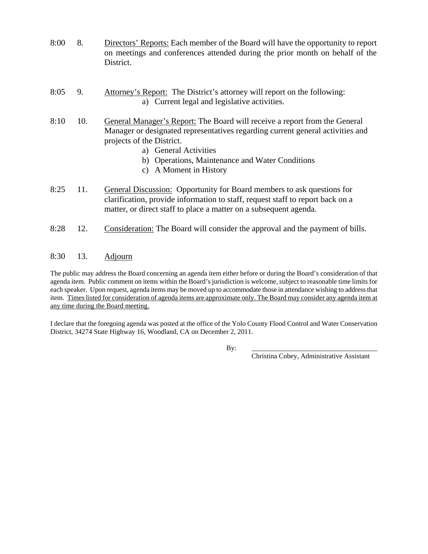- 8:00 8. Directors' Reports: Each member of the Board will have the opportunity to report on meetings and conferences attended during the prior month on behalf of the District.
- 8:05 9. Attorney's Report: The District's attorney will report on the following: a) Current legal and legislative activities.
- 8:10 10. General Manager's Report: The Board will receive a report from the General Manager or designated representatives regarding current general activities and projects of the District.
	- a) General Activities
	- b) Operations, Maintenance and Water Conditions
	- c) A Moment in History
- 8:25 11. General Discussion: Opportunity for Board members to ask questions for clarification, provide information to staff, request staff to report back on a matter, or direct staff to place a matter on a subsequent agenda.
- 8:28 12. Consideration: The Board will consider the approval and the payment of bills.

#### 8:30 13. Adjourn

The public may address the Board concerning an agenda item either before or during the Board's consideration of that agenda item. Public comment on items within the Board's jurisdiction is welcome, subject to reasonable time limits for each speaker. Upon request, agenda items may be moved up to accommodate those in attendance wishing to address that item. Times listed for consideration of agenda items are approximate only. The Board may consider any agenda item at any time during the Board meeting.

I declare that the foregoing agenda was posted at the office of the Yolo County Flood Control and Water Conservation District, 34274 State Highway 16, Woodland, CA on December 2, 2011.

By: \_\_\_\_\_\_\_\_\_\_\_\_\_\_\_\_\_\_\_\_\_\_\_\_\_\_\_\_\_\_\_\_\_\_\_\_\_

Christina Cobey, Administrative Assistant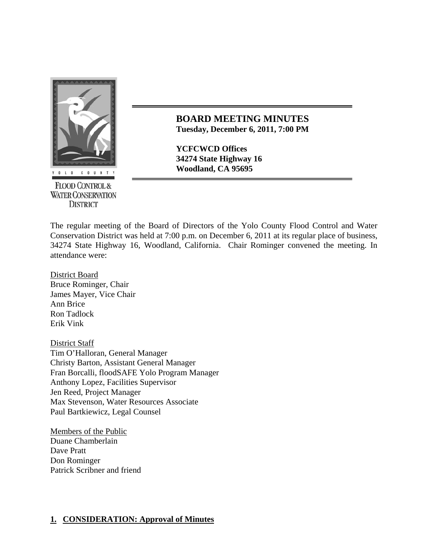

**FLOOD CONTROL & WATER CONSERVATION DISTRICT** 

#### **BOARD MEETING MINUTES Tuesday, December 6, 2011, 7:00 PM**

**YCFCWCD Offices 34274 State Highway 16 Woodland, CA 95695** 

The regular meeting of the Board of Directors of the Yolo County Flood Control and Water Conservation District was held at 7:00 p.m. on December 6, 2011 at its regular place of business, 34274 State Highway 16, Woodland, California. Chair Rominger convened the meeting. In attendance were:

District Board Bruce Rominger, Chair James Mayer, Vice Chair Ann Brice Ron Tadlock Erik Vink

District Staff Tim O'Halloran, General Manager Christy Barton, Assistant General Manager Fran Borcalli, floodSAFE Yolo Program Manager Anthony Lopez, Facilities Supervisor Jen Reed, Project Manager Max Stevenson, Water Resources Associate Paul Bartkiewicz, Legal Counsel

Members of the Public Duane Chamberlain Dave Pratt Don Rominger Patrick Scribner and friend

### **1. CONSIDERATION: Approval of Minutes**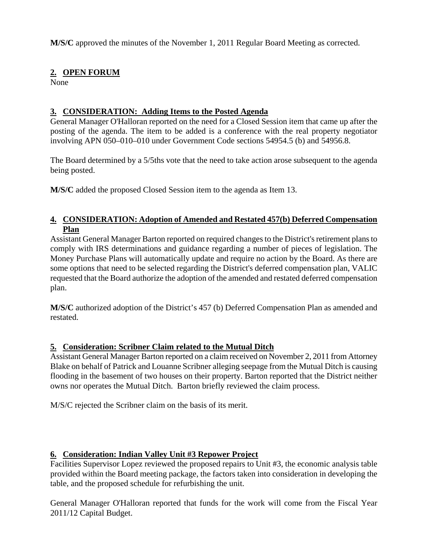**M/S/C** approved the minutes of the November 1, 2011 Regular Board Meeting as corrected.

### **2. OPEN FORUM**

None

## **3. CONSIDERATION: Adding Items to the Posted Agenda**

General Manager O'Halloran reported on the need for a Closed Session item that came up after the posting of the agenda. The item to be added is a conference with the real property negotiator involving APN 050–010–010 under Government Code sections 54954.5 (b) and 54956.8.

The Board determined by a 5/5ths vote that the need to take action arose subsequent to the agenda being posted.

**M/S/C** added the proposed Closed Session item to the agenda as Item 13.

## **4. CONSIDERATION: Adoption of Amended and Restated 457(b) Deferred Compensation Plan**

Assistant General Manager Barton reported on required changes to the District's retirement plans to comply with IRS determinations and guidance regarding a number of pieces of legislation. The Money Purchase Plans will automatically update and require no action by the Board. As there are some options that need to be selected regarding the District's deferred compensation plan, VALIC requested that the Board authorize the adoption of the amended and restated deferred compensation plan.

**M/S/C** authorized adoption of the District's 457 (b) Deferred Compensation Plan as amended and restated.

### **5. Consideration: Scribner Claim related to the Mutual Ditch**

Assistant General Manager Barton reported on a claim received on November 2, 2011 from Attorney Blake on behalf of Patrick and Louanne Scribner alleging seepage from the Mutual Ditch is causing flooding in the basement of two houses on their property. Barton reported that the District neither owns nor operates the Mutual Ditch. Barton briefly reviewed the claim process.

M/S/C rejected the Scribner claim on the basis of its merit.

### **6. Consideration: Indian Valley Unit #3 Repower Project**

Facilities Supervisor Lopez reviewed the proposed repairs to Unit #3, the economic analysis table provided within the Board meeting package, the factors taken into consideration in developing the table, and the proposed schedule for refurbishing the unit.

General Manager O'Halloran reported that funds for the work will come from the Fiscal Year 2011/12 Capital Budget.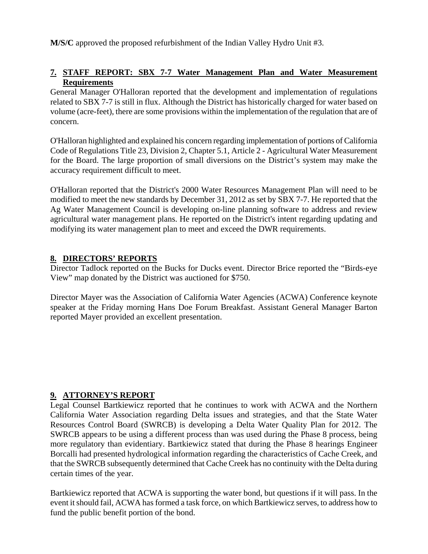**M/S/C** approved the proposed refurbishment of the Indian Valley Hydro Unit #3.

### **7. STAFF REPORT: SBX 7-7 Water Management Plan and Water Measurement Requirements**

General Manager O'Halloran reported that the development and implementation of regulations related to SBX 7-7 is still in flux. Although the District has historically charged for water based on volume (acre-feet), there are some provisions within the implementation of the regulation that are of concern.

O'Halloran highlighted and explained his concern regarding implementation of portions of California Code of Regulations Title 23, Division 2, Chapter 5.1, Article 2 - Agricultural Water Measurement for the Board. The large proportion of small diversions on the District's system may make the accuracy requirement difficult to meet.

O'Halloran reported that the District's 2000 Water Resources Management Plan will need to be modified to meet the new standards by December 31, 2012 as set by SBX 7-7. He reported that the Ag Water Management Council is developing on-line planning software to address and review agricultural water management plans. He reported on the District's intent regarding updating and modifying its water management plan to meet and exceed the DWR requirements.

#### **8. DIRECTORS' REPORTS**

Director Tadlock reported on the Bucks for Ducks event. Director Brice reported the "Birds-eye View" map donated by the District was auctioned for \$750.

Director Mayer was the Association of California Water Agencies (ACWA) Conference keynote speaker at the Friday morning Hans Doe Forum Breakfast. Assistant General Manager Barton reported Mayer provided an excellent presentation.

#### **9. ATTORNEY'S REPORT**

Legal Counsel Bartkiewicz reported that he continues to work with ACWA and the Northern California Water Association regarding Delta issues and strategies, and that the State Water Resources Control Board (SWRCB) is developing a Delta Water Quality Plan for 2012. The SWRCB appears to be using a different process than was used during the Phase 8 process, being more regulatory than evidentiary. Bartkiewicz stated that during the Phase 8 hearings Engineer Borcalli had presented hydrological information regarding the characteristics of Cache Creek, and that the SWRCB subsequently determined that Cache Creek has no continuity with the Delta during certain times of the year.

Bartkiewicz reported that ACWA is supporting the water bond, but questions if it will pass. In the event it should fail, ACWA has formed a task force, on which Bartkiewicz serves, to address how to fund the public benefit portion of the bond.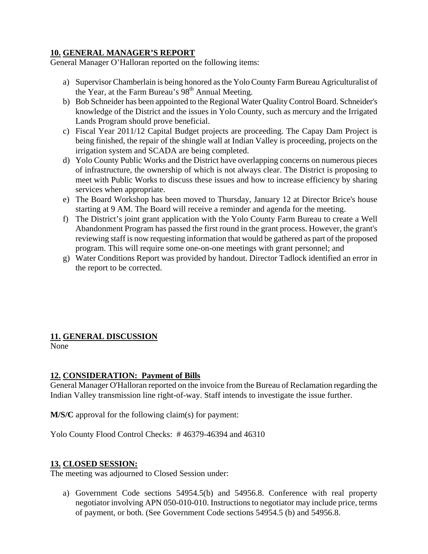#### **10. GENERAL MANAGER'S REPORT**

General Manager O'Halloran reported on the following items:

- a) Supervisor Chamberlain is being honored as the Yolo County Farm Bureau Agriculturalist of the Year, at the Farm Bureau's  $98<sup>th</sup>$  Annual Meeting.
- b) Bob Schneider has been appointed to the Regional Water Quality Control Board. Schneider's knowledge of the District and the issues in Yolo County, such as mercury and the Irrigated Lands Program should prove beneficial.
- c) Fiscal Year 2011/12 Capital Budget projects are proceeding. The Capay Dam Project is being finished, the repair of the shingle wall at Indian Valley is proceeding, projects on the irrigation system and SCADA are being completed.
- d) Yolo County Public Works and the District have overlapping concerns on numerous pieces of infrastructure, the ownership of which is not always clear. The District is proposing to meet with Public Works to discuss these issues and how to increase efficiency by sharing services when appropriate.
- e) The Board Workshop has been moved to Thursday, January 12 at Director Brice's house starting at 9 AM. The Board will receive a reminder and agenda for the meeting.
- f) The District's joint grant application with the Yolo County Farm Bureau to create a Well Abandonment Program has passed the first round in the grant process. However, the grant's reviewing staff is now requesting information that would be gathered as part of the proposed program. This will require some one-on-one meetings with grant personnel; and
- g) Water Conditions Report was provided by handout. Director Tadlock identified an error in the report to be corrected.

# **11. GENERAL DISCUSSION**

None

### **12. CONSIDERATION: Payment of Bills**

General Manager O'Halloran reported on the invoice from the Bureau of Reclamation regarding the Indian Valley transmission line right-of-way. Staff intends to investigate the issue further.

**M/S/C** approval for the following claim(s) for payment:

Yolo County Flood Control Checks: # 46379-46394 and 46310

#### **13. CLOSED SESSION:**

The meeting was adjourned to Closed Session under:

a) Government Code sections 54954.5(b) and 54956.8. Conference with real property negotiator involving APN 050-010-010. Instructions to negotiator may include price, terms of payment, or both. (See Government Code sections 54954.5 (b) and 54956.8.